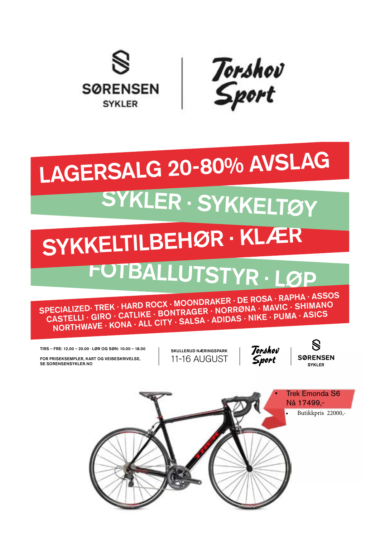

Torshov<br>Sport

## SYKLER · SYKKELTØY LAGERSALG 20-80% AVSLAG

## FOTBALLUTSTYR · LØP SYKKELTILBEHØR · KLÆR

SPECIALIZED· TREK · HARD ROCX · MOONDRAKER · DE ROSA · RAPHA · ASSOS CASTELLI · GIRO · CATLIKE · BONTRAGER · NORRØNA · MAVIC · SHIMANO NORTHWAVE · KONA · ALL CITY · SALSA · ADIDAS · NIKE · PUMA · ASICS

TIRS – FRE: 12.00 – 20.00 · LØR OG SØN: 10.00 – 18.00

FOR PRISEKSEMPLER, KART OG VEIBESKRIVELSE, SE SORENSENSYKLER.NO

SKULLERUD NÆRINGSPARK 11-16 AUGUST



**SØRENSEN SVKI ED** 

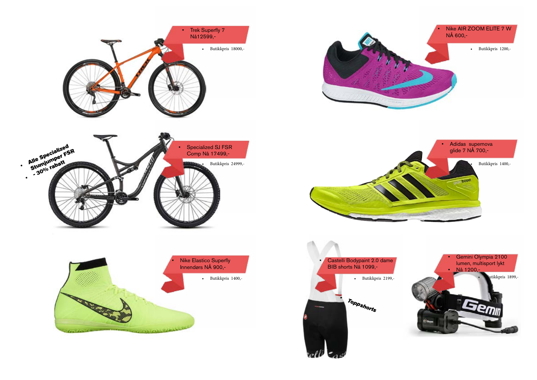